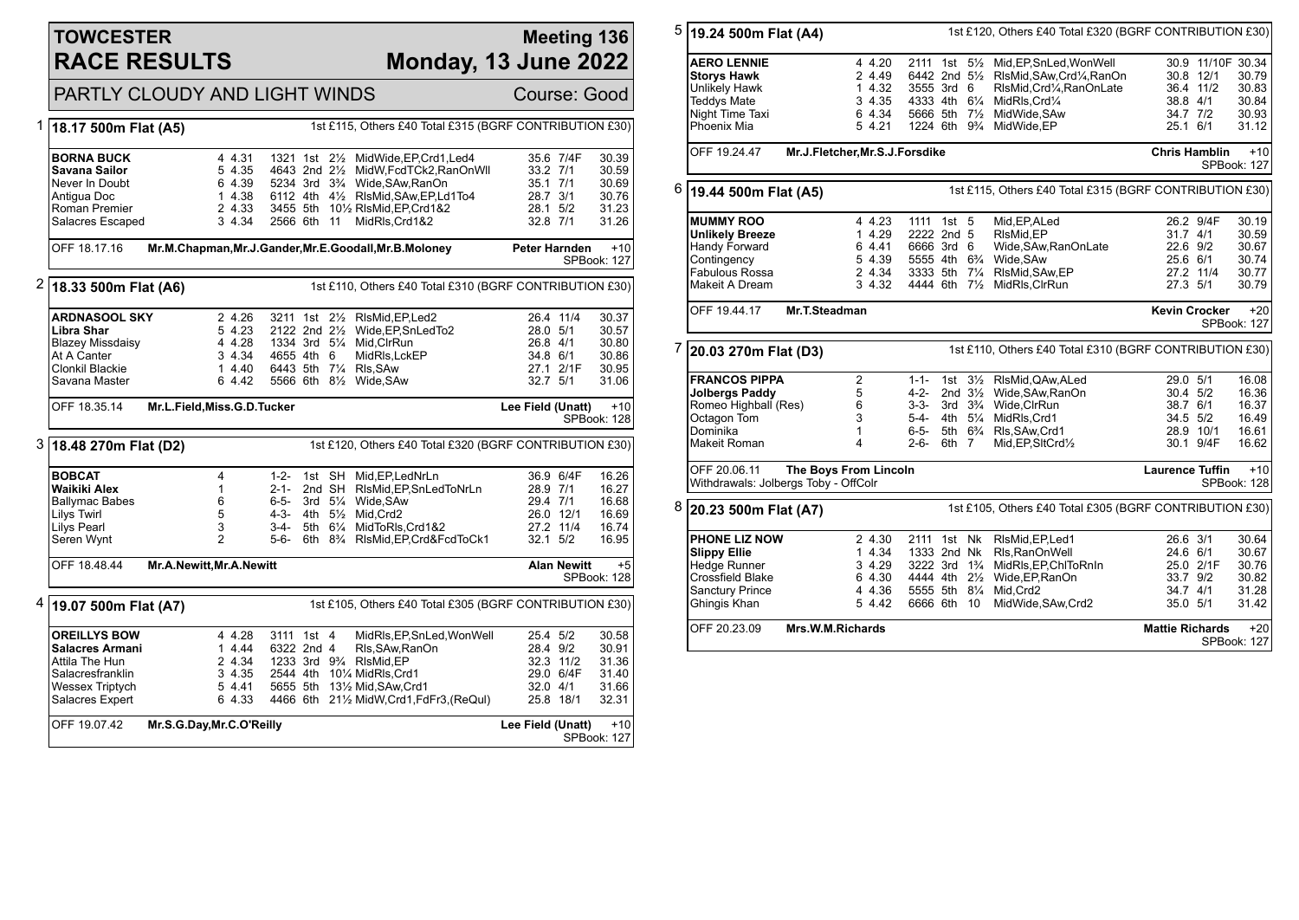### **TOWCESTER RACE RESULTS**

#### **Meeting 136 Monday, 13 June 2022**

# PARTLY CLOUDY AND LIGHT WINDS Course: Good

|   | 18.17 500m Flat (A5)               | 1st £115, Others £40 Total £315 (BGRF CONTRIBUTION £30) |           |             |  |                                                                                |                   |                    |                      |
|---|------------------------------------|---------------------------------------------------------|-----------|-------------|--|--------------------------------------------------------------------------------|-------------------|--------------------|----------------------|
|   | <b>BORNA BUCK</b><br>Savana Sailor | 4 4.31                                                  | 5 4.35    |             |  | 1321 1st 21/2 MidWide, EP, Crd1, Led4<br>4643 2nd 21/2 MidW, FcdTCk2, RanOnWll | 33.2 7/1          | 35.6 7/4F          | 30.39<br>30.59       |
|   | Never In Doubt                     |                                                         | 6 4.39    |             |  | 5234 3rd 3 <sup>3</sup> / <sub>4</sub> Wide, SAw, RanOn                        | 35.1 7/1          |                    | 30.69                |
|   | Antigua Doc                        |                                                         | 1 4.38    |             |  | 6112 4th 41/2 RIsMid, SAw, EP, Ld1To4                                          | 28.7 3/1          |                    | 30.76                |
|   | Roman Premier                      |                                                         | 2 4.33    |             |  | 3455 5th 101/2 RIsMid, EP, Crd1&2                                              | 28.1 5/2          |                    | 31.23                |
|   | Salacres Escaped                   |                                                         | 3 4.34    | 2566 6th 11 |  | MidRls, Crd1&2                                                                 | 32.8 7/1          |                    | 31.26                |
|   | OFF 18.17.16                       |                                                         |           |             |  | Mr.M.Chapman, Mr.J.Gander, Mr.E.Goodall, Mr.B.Moloney                          | Peter Harnden     |                    | $+10$<br>SPBook: 127 |
| 2 | 18.33 500m Flat (A6)               |                                                         |           |             |  | 1st £110, Others £40 Total £310 (BGRF CONTRIBUTION £30)                        |                   |                    |                      |
|   | <b>ARDNASOOL SKY</b>               |                                                         | 2 4.26    |             |  | 3211 1st 21/2 RIsMid, EP, Led2                                                 |                   | 26.4 11/4          | 30.37                |
|   | Libra Shar                         |                                                         | 5 4.23    |             |  | 2122 2nd 21/ <sub>2</sub> Wide, EP, SnLed To 2                                 | 28.0 5/1          |                    | 30.57                |
|   | <b>Blazey Missdaisy</b>            | 4 4.28                                                  |           |             |  | 1334 3rd 51/4 Mid, ClrRun                                                      | 26.8 4/1          |                    | 30.80                |
|   | At A Canter                        |                                                         | 3 4.34    | 4655 4th 6  |  | MidRIs, LckEP                                                                  | 34.8 6/1          |                    | 30.86                |
|   | Clonkil Blackie                    |                                                         | 14.40     |             |  | 6443 5th 71/4 RIs, SAw                                                         |                   | 27.1 2/1F          | 30.95                |
|   | Savana Master                      |                                                         | 6 4.42    |             |  | 5566 6th 81/2 Wide, SAw                                                        | 32.7 5/1          |                    | 31.06                |
|   | OFF 18.35.14                       | Mr.L.Field, Miss.G.D.Tucker                             |           |             |  |                                                                                | Lee Field (Unatt) |                    | $+10$<br>SPBook: 128 |
|   | $3$ 18.48 270m Flat (D2)           |                                                         |           |             |  | 1st £120, Others £40 Total £320 (BGRF CONTRIBUTION £30)                        |                   |                    |                      |
|   | <b>BOBCAT</b>                      | 4                                                       |           |             |  | 1-2- 1st SH Mid, EP, LedNrLn                                                   |                   | 36.9 6/4F          | 16.26                |
|   | Waikiki Alex                       | $\mathbf{1}$                                            | 2-1-      |             |  | 2nd SH RIsMid, EP, SnLed ToNrLn                                                | 28.9 7/1          |                    | 16.27                |
|   | <b>Ballymac Babes</b>              | 6                                                       | 6-5-      |             |  | 3rd 51/4 Wide, SAw                                                             | 29.4 7/1          |                    | 16.68                |
|   | <b>Lilys Twirl</b>                 | 5                                                       | $4 - 3 -$ |             |  | 4th 51/ <sub>2</sub> Mid.Crd2                                                  |                   | 26.0 12/1          | 16.69                |
|   | <b>Lilys Pearl</b>                 | 3                                                       | $3-4-$    |             |  | 5th 61/4 MidToRIs, Crd1&2                                                      |                   | 27.2 11/4          | 16.74                |
|   | Seren Wynt                         | $\mathcal{P}$                                           | 5-6-      |             |  | 6th 8 <sup>3</sup> / <sub>4</sub> RIsMid, EP, Crd&FcdToCk1                     | $32.1$ $5/2$      |                    | 16.95                |
|   | OFF 18.48.44                       | Mr.A.Newitt, Mr.A.Newitt                                |           |             |  |                                                                                |                   | <b>Alan Newitt</b> | $+5$<br>SPBook: 128  |
|   | $4$   19.07 500m Flat (A7)         |                                                         |           |             |  | 1st £105, Others £40 Total £305 (BGRF CONTRIBUTION £30)                        |                   |                    |                      |
|   | <b>OREILLYS BOW</b>                |                                                         | 4 4.28    | 3111 1st 4  |  | MidRIs, EP, SnLed, Won Well                                                    | 25.4 5/2          |                    | 30.58                |
|   | <b>Salacres Armani</b>             |                                                         | 14.44     | 6322 2nd 4  |  | RIs, SAw, RanOn                                                                | 28.4 9/2          |                    | 30.91                |
|   | Attila The Hun                     |                                                         | 2 4.34    |             |  | 1233 3rd 93/4 RIsMid, EP                                                       |                   | 32.3 11/2          | 31.36                |
|   | Salacresfranklin                   |                                                         | 3 4.35    |             |  | 2544 4th 101/4 MidRls, Crd1                                                    |                   | 29.0 6/4F          | 31.40                |
|   | <b>Wessex Triptych</b>             |                                                         | 5 4.41    |             |  | 5655 5th 131/2 Mid, SAw, Crd1                                                  | 32.0 4/1          |                    | 31.66                |
|   | Salacres Expert                    |                                                         | 6 4.33    |             |  | 4466 6th 211/2 MidW, Crd1, FdFr3, (ReQul)                                      |                   | 25.8 18/1          | 32.31                |
|   | OFF 19.07.42                       | Mr.S.G.Day, Mr.C.O'Reilly                               |           |             |  |                                                                                | Lee Field (Unatt) |                    | $+10$                |

| 5<br>19.24 500m Flat (A4)                                                            |                                                                                                                           |                                                          |                                                                                                                                      |                                                             | 1st £120, Others £40 Total £320 (BGRF CONTRIBUTION £30) |                                                                                                                                              |                                                          |                                              |                                                    |  |
|--------------------------------------------------------------------------------------|---------------------------------------------------------------------------------------------------------------------------|----------------------------------------------------------|--------------------------------------------------------------------------------------------------------------------------------------|-------------------------------------------------------------|---------------------------------------------------------|----------------------------------------------------------------------------------------------------------------------------------------------|----------------------------------------------------------|----------------------------------------------|----------------------------------------------------|--|
|                                                                                      | <b>AERO LENNIE</b><br><b>Storys Hawk</b><br><b>Unlikely Hawk</b><br><b>Teddys Mate</b><br>Night Time Taxi<br>Phoenix Mia  | 4 4.20<br>2 4.49<br>14.32<br>3 4.35<br>6 4.34<br>5 4.21  | 2111 1st 51/ <sub>2</sub><br>6442 2nd 51/2<br>3555 3rd 6<br>4333 4th 61/4<br>5666 5th 71/2<br>1224 6th 9 <sup>3</sup> / <sub>4</sub> |                                                             |                                                         | Mid, EP, SnLed, Won Well<br>RIsMid, SAw, Crd1/4, RanOn<br>RIsMid, Crd1/4, RanOnLate<br>MidRIs.Crd1/4<br>MidWide, SAw<br>MidWide,EP           | 38.8 4/1<br>34.7 7/2<br>25.1 6/1                         | 30.9 11/10F 30.34<br>30.8 12/1<br>36.4 11/2  | 30.79<br>30.83<br>30.84<br>30.93<br>31.12          |  |
|                                                                                      | OFF 19.24.47<br>Mr.J.Fletcher, Mr.S.J.Forsdike                                                                            |                                                          |                                                                                                                                      |                                                             |                                                         |                                                                                                                                              |                                                          | <b>Chris Hamblin</b><br>$+10$<br>SPBook: 127 |                                                    |  |
| 6<br>1st £115, Others £40 Total £315 (BGRF CONTRIBUTION £30)<br>19.44 500m Flat (A5) |                                                                                                                           |                                                          |                                                                                                                                      |                                                             |                                                         |                                                                                                                                              |                                                          |                                              |                                                    |  |
|                                                                                      | <b>MUMMY ROO</b><br>Unlikely Breeze<br>Handy Forward<br>Contingency<br><b>Fabulous Rossa</b><br>Makeit A Dream            | 4 4.23<br>1 4.29<br>6 4.41<br>5 4.39<br>2 4.34<br>3 4.32 | 1111 1st 5<br>2222 2nd 5<br>6666 3rd 6<br>5555 4th 6 <sup>3</sup> / <sub>4</sub><br>3333 5th 71/4<br>4444 6th 71/2                   |                                                             |                                                         | Mid, EP, ALed<br>RIsMid, EP<br>Wide, SAw, RanOnLate<br>Wide, SAw<br>RIsMid, SAw, EP<br>MidRls, ClrRun                                        | 31.7 4/1<br>22.6 9/2<br>25.6 6/1<br>27.3 5/1             | 26.2 9/4F<br>27.2 11/4                       | 30.19<br>30.59<br>30.67<br>30.74<br>30.77<br>30.79 |  |
| Mr.T.Steadman<br>OFF 19.44.17                                                        |                                                                                                                           |                                                          |                                                                                                                                      |                                                             | <b>Kevin Crocker</b><br>$+20$<br>SPBook: 127            |                                                                                                                                              |                                                          |                                              |                                                    |  |
| 7<br>1st £110, Others £40 Total £310 (BGRF CONTRIBUTION £30)<br>20.03 270m Flat (D3) |                                                                                                                           |                                                          |                                                                                                                                      |                                                             |                                                         |                                                                                                                                              |                                                          |                                              |                                                    |  |
|                                                                                      | <b>FRANCOS PIPPA</b><br><b>Jolbergs Paddy</b><br>Romeo Highball (Res)<br>Octagon Tom<br>Dominika<br>Makeit Roman          | $\overline{2}$<br>5<br>6<br>3<br>1<br>4                  | $1 - 1 -$<br>$4 - 2 -$<br>$3 - 3 -$<br>5-4- 4th 51/4<br>6-5-<br>$2 - 6 -$                                                            | 1st<br>2nd $3\frac{1}{2}$<br>$3rd \t 3\frac{3}{4}$<br>6th 7 | $3\frac{1}{2}$                                          | RIsMid.QAw.ALed<br>Wide, SAw, RanOn<br>Wide.CIrRun<br>MidRIs, Crd1<br>5th 6 <sup>3</sup> / <sub>4</sub> Rls, SAw, Crd1<br>Mid, EP, SItCrd1/2 | 29.0 5/1<br>30.4 5/2<br>38.7 6/1<br>34.5 5/2             | 28.9 10/1<br>30.1 9/4F                       | 16.08<br>16.36<br>16.37<br>16.49<br>16.61<br>16.62 |  |
| The Boys From Lincoln<br>OFF 20.06.11<br>Withdrawals: Jolbergs Toby - OffColr        |                                                                                                                           |                                                          |                                                                                                                                      |                                                             |                                                         | <b>Laurence Tuffin</b><br>$+10$<br>SPBook: 128                                                                                               |                                                          |                                              |                                                    |  |
| 8                                                                                    | 20.23 500m Flat (A7)                                                                                                      | 1st £105, Others £40 Total £305 (BGRF CONTRIBUTION £30)  |                                                                                                                                      |                                                             |                                                         |                                                                                                                                              |                                                          |                                              |                                                    |  |
|                                                                                      | <b>PHONE LIZ NOW</b><br><b>Slippy Ellie</b><br><b>Hedge Runner</b><br>Crossfield Blake<br>Sanctury Prince<br>Ghingis Khan | 2 4.30<br>1 4.34<br>3 4.29<br>6 4.30<br>4 4.36<br>5 4.42 | 2111 1st Nk<br>1333 2nd Nk<br>3222 3rd 1 <sup>3</sup> / <sub>4</sub><br>4444 4th 21/2<br>5555 5th 81/4<br>6666 6th 10                |                                                             |                                                         | RIsMid, EP, Led1<br>Rls, RanOnWell<br>MidRIs, EP, ChIToRnIn<br>Wide, EP, RanOn<br>Mid, Crd2<br>MidWide, SAw, Crd2                            | 26.6 3/1<br>24.6 6/1<br>33.7 9/2<br>34.7 4/1<br>35.0 5/1 | 25.0 2/1F                                    | 30.64<br>30.67<br>30.76<br>30.82<br>31.28<br>31.42 |  |
|                                                                                      | OFF 20.23.09<br>Mrs.W.M.Richards                                                                                          |                                                          |                                                                                                                                      |                                                             |                                                         |                                                                                                                                              | <b>Mattie Richards</b>                                   |                                              | $+20$<br>SPBook: 127                               |  |
|                                                                                      |                                                                                                                           |                                                          |                                                                                                                                      |                                                             |                                                         |                                                                                                                                              |                                                          |                                              |                                                    |  |